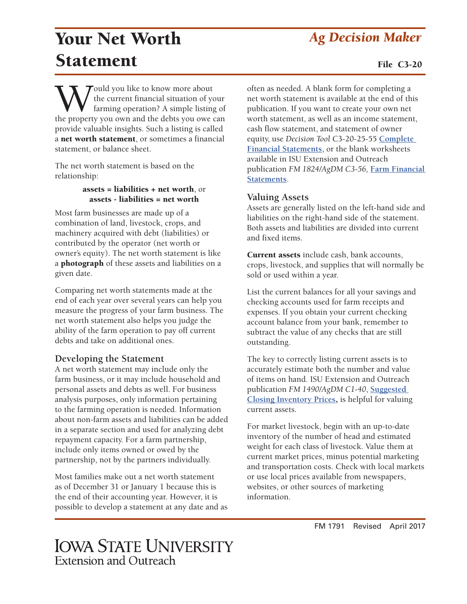# Your Net Worth *Ag Decision Maker* Statement

Would you like to know more about<br>the current financial situation of your<br>the property you own and the debts you owe can the current financial situation of your farming operation? A simple listing of provide valuable insights. Such a listing is called a net worth statement, or sometimes a financial statement, or balance sheet.

The net worth statement is based on the relationship:

#### assets = liabilities + net worth, or assets - liabilities = net worth

Most farm businesses are made up of a combination of land, livestock, crops, and machinery acquired with debt (liabilities) or contributed by the operator (net worth or owner's equity). The net worth statement is like a photograph of these assets and liabilities on a given date.

Comparing net worth statements made at the end of each year over several years can help you measure the progress of your farm business. The net worth statement also helps you judge the ability of the farm operation to pay off current debts and take on additional ones.

### **Developing the Statement**

A net worth statement may include only the farm business, or it may include household and personal assets and debts as well. For business analysis purposes, only information pertaining to the farming operation is needed. Information about non-farm assets and liabilities can be added in a separate section and used for analyzing debt repayment capacity. For a farm partnership, include only items owned or owed by the partnership, not by the partners individually.

Most families make out a net worth statement as of December 31 or January 1 because this is the end of their accounting year. However, it is possible to develop a statement at any date and as often as needed. A blank form for completing a net worth statement is available at the end of this publication. If you want to create your own net worth statement, as well as an income statement, cash flow statement, and statement of owner equity, use *Decision Tool* C3-20-25-55 **[Complete](http://www.extension.iastate.edu/agdm/wholefarm/xls/c3-20-25-55comprfinstatements.xlsx)  [Financial Statements](http://www.extension.iastate.edu/agdm/wholefarm/xls/c3-20-25-55comprfinstatements.xlsx)**, or the blank worksheets available in ISU Extension and Outreach publication *FM 1824/AgDM C3-56,* **[Farm Financial](http://www.extension.iastate.edu/agdm/wholefarm/pdf/c3-56.pdf)  [Statements](http://www.extension.iastate.edu/agdm/wholefarm/pdf/c3-56.pdf)**.

#### **Valuing Assets**

Assets are generally listed on the left-hand side and liabilities on the right-hand side of the statement. Both assets and liabilities are divided into current and fixed items.

Current assets include cash, bank accounts, crops, livestock, and supplies that will normally be sold or used within a year.

List the current balances for all your savings and checking accounts used for farm receipts and expenses. If you obtain your current checking account balance from your bank, remember to subtract the value of any checks that are still outstanding.

The key to correctly listing current assets is to accurately estimate both the number and value of items on hand. ISU Extension and Outreach publication *FM 1490/AgDM C1-40*, **[Suggested](http://www.extension.iastate.edu/agdm/wholefarm/pdf/c1-40.pdf)  [Closing Inventory Prices](http://www.extension.iastate.edu/agdm/wholefarm/pdf/c1-40.pdf)**, is helpful for valuing current assets.

For market livestock, begin with an up-to-date inventory of the number of head and estimated weight for each class of livestock. Value them at current market prices, minus potential marketing and transportation costs. Check with local markets or use local prices available from newspapers, websites, or other sources of marketing information.

FM 1791 Revised April 2017

### **IOWA STATE UNIVERSITY** Extension and Outreach

File C3-20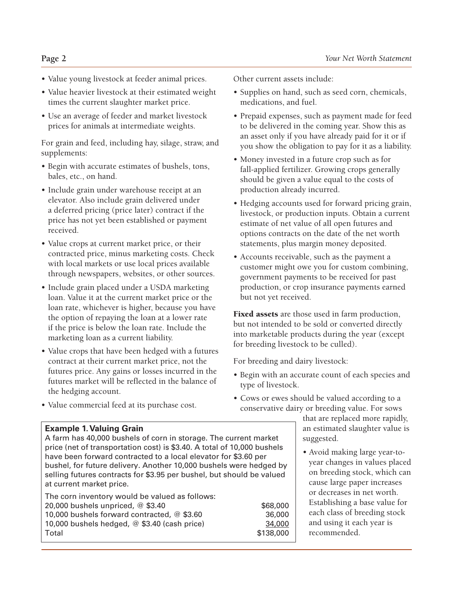- Value young livestock at feeder animal prices.
- Value heavier livestock at their estimated weight times the current slaughter market price.
- Use an average of feeder and market livestock prices for animals at intermediate weights.

For grain and feed, including hay, silage, straw, and supplements:

- Begin with accurate estimates of bushels, tons, bales, etc., on hand.
- Include grain under warehouse receipt at an elevator. Also include grain delivered under a deferred pricing (price later) contract if the price has not yet been established or payment received.
- Value crops at current market price, or their contracted price, minus marketing costs. Check with local markets or use local prices available through newspapers, websites, or other sources.
- Include grain placed under a USDA marketing loan. Value it at the current market price or the loan rate, whichever is higher, because you have the option of repaying the loan at a lower rate if the price is below the loan rate. Include the marketing loan as a current liability.
- Value crops that have been hedged with a futures contract at their current market price, not the futures price. Any gains or losses incurred in the futures market will be reflected in the balance of the hedging account.

Other current assets include:

- Supplies on hand, such as seed corn, chemicals, medications, and fuel.
- Prepaid expenses, such as payment made for feed to be delivered in the coming year. Show this as an asset only if you have already paid for it or if you show the obligation to pay for it as a liability.
- Money invested in a future crop such as for fall-applied fertilizer. Growing crops generally should be given a value equal to the costs of production already incurred.
- Hedging accounts used for forward pricing grain, livestock, or production inputs. Obtain a current estimate of net value of all open futures and options contracts on the date of the net worth statements, plus margin money deposited.
- Accounts receivable, such as the payment a customer might owe you for custom combining, government payments to be received for past production, or crop insurance payments earned but not yet received.

Fixed assets are those used in farm production, but not intended to be sold or converted directly into marketable products during the year (except for breeding livestock to be culled).

For breeding and dairy livestock:

- Begin with an accurate count of each species and type of livestock.
- Cows or ewes should be valued according to a conservative dairy or breeding value. For sows

that are replaced more rapidly, an estimated slaughter value is suggested.

• Avoid making large year-toyear changes in values placed on breeding stock, which can cause large paper increases or decreases in net worth. Establishing a base value for each class of breeding stock and using it each year is recommended.

• Value commercial feed at its purchase cost.

#### **Example 1. Valuing Grain**

A farm has 40,000 bushels of corn in storage. The current market price (net of transportation cost) is \$3.40. A total of 10,000 bushels have been forward contracted to a local elevator for \$3.60 per bushel, for future delivery. Another 10,000 bushels were hedged by selling futures contracts for \$3.95 per bushel, but should be valued at current market price.

| The corn inventory would be valued as follows: |           |
|------------------------------------------------|-----------|
| 20,000 bushels unpriced, $@$ \$3.40            | \$68,000  |
| 10,000 bushels forward contracted, $@$ \$3.60  | 36,000    |
| 10,000 bushels hedged, $@$ \$3.40 (cash price) | 34,000    |
| Total                                          | \$138,000 |
|                                                |           |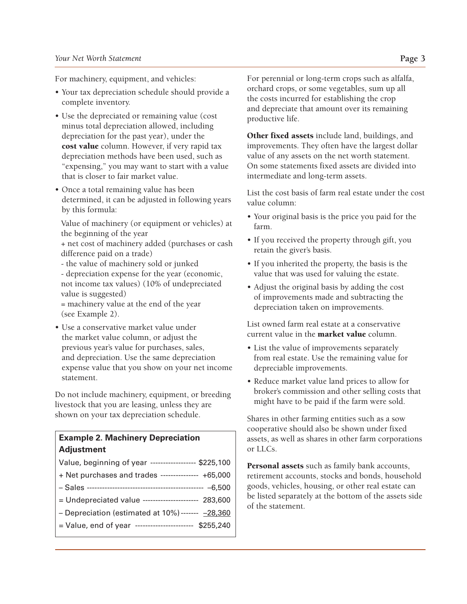For machinery, equipment, and vehicles:

- Your tax depreciation schedule should provide a complete inventory.
- Use the depreciated or remaining value (cost minus total depreciation allowed, including depreciation for the past year), under the cost value column. However, if very rapid tax depreciation methods have been used, such as "expensing," you may want to start with a value that is closer to fair market value.
- Once a total remaining value has been determined, it can be adjusted in following years by this formula:

Value of machinery (or equipment or vehicles) at the beginning of the year

+ net cost of machinery added (purchases or cash difference paid on a trade)

- the value of machinery sold or junked

- depreciation expense for the year (economic, not income tax values) (10% of undepreciated value is suggested)
- = machinery value at the end of the year (see Example 2).
- Use a conservative market value under the market value column, or adjust the previous year's value for purchases, sales, and depreciation. Use the same depreciation expense value that you show on your net income statement.

Do not include machinery, equipment, or breeding livestock that you are leasing, unless they are shown on your tax depreciation schedule.

#### **Example 2. Machinery Depreciation Adjustment**

| Value, beginning of year ------------------ \$225,100   |  |
|---------------------------------------------------------|--|
| + Net purchases and trades --------------- +65,000      |  |
|                                                         |  |
| = Undepreciated value --------------------- 283,600     |  |
| - Depreciation (estimated at $10\%$ ) ------- $-28,360$ |  |
| = Value, end of year ---------------------- \$255,240   |  |
|                                                         |  |

For perennial or long-term crops such as alfalfa, orchard crops, or some vegetables, sum up all the costs incurred for establishing the crop and depreciate that amount over its remaining productive life.

Other fixed assets include land, buildings, and improvements. They often have the largest dollar value of any assets on the net worth statement. On some statements fixed assets are divided into intermediate and long-term assets.

List the cost basis of farm real estate under the cost value column:

- Your original basis is the price you paid for the farm.
- If you received the property through gift, you retain the giver's basis.
- If you inherited the property, the basis is the value that was used for valuing the estate.
- Adjust the original basis by adding the cost of improvements made and subtracting the depreciation taken on improvements.

List owned farm real estate at a conservative current value in the **market value** column.

- List the value of improvements separately from real estate. Use the remaining value for depreciable improvements.
- Reduce market value land prices to allow for broker's commission and other selling costs that might have to be paid if the farm were sold.

Shares in other farming entities such as a sow cooperative should also be shown under fixed assets, as well as shares in other farm corporations or LLCs.

Personal assets such as family bank accounts, retirement accounts, stocks and bonds, household goods, vehicles, housing, or other real estate can be listed separately at the bottom of the assets side of the statement.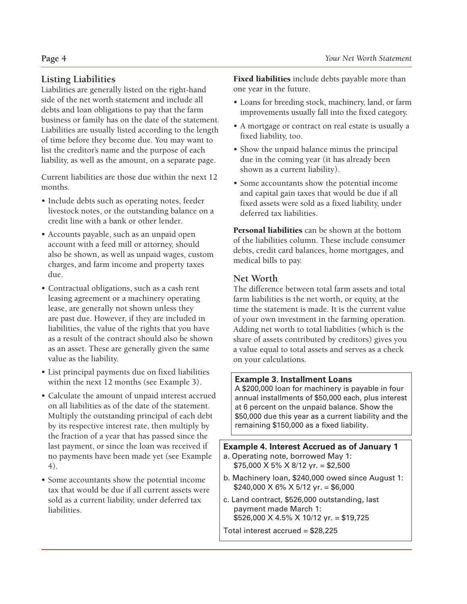### **Listing Liabilities**

Liabilities are generally listed on the right-hand side of the net worth statement and include all debts and loan obligations to pay that the farm business or family has on the date of the statement. Liabilities are usually listed according to the length of time before they become due. You may want to list the creditor's name and the purpose of each liability, as well as the amount, on a separate page.

Current liabilities are those due within the next 12 months.

- Include debts such as operating notes, feeder livestock notes, or the outstanding balance on a credit line with a bank or other lender.
- Accounts payable, such as an unpaid open account with a feed mill or attorney, should also be shown, as well as unpaid wages, custom charges, and farm income and property taxes due.
- Contractual obligations, such as a cash rent leasing agreement or a machinery operating lease, are generally not shown unless they are past due. However, if they are included in liabilities, the value of the rights that you have as a result of the contract should also be shown as an asset. These are generally given the same value as the liability.
- List principal payments due on fixed liabilities within the next 12 months (see Example 3).
- Calculate the amount of unpaid interest accrued on all liabilities as of the date of the statement. Multiply the outstanding principal of each debt by its respective interest rate, then multiply by the fraction of a year that has passed since the last payment, or since the loan was received if no payments have been made yet (see Example 4).
- Some accountants show the potential income tax that would be due if all current assets were sold as a current liability, under deferred tax liabilities.

Fixed liabilities include debts payable more than one year in the future.

- Loans for breeding stock, machinery, land, or farm improvements usually fall into the fixed category.
- A mortgage or contract on real estate is usually a fixed liability, too.
- Show the unpaid balance minus the principal due in the coming year (it has already been shown as a current liability).
- Some accountants show the potential income and capital gain taxes that would be due if all fixed assets were sold as a fixed liability, under deferred tax liabilities.

Personal liabilities can be shown at the bottom of the liabilities column. These include consumer debts, credit card balances, home mortgages, and medical bills to pay.

#### **Net Worth**

The difference between total farm assets and total farm liabilities is the net worth, or equity, at the time the statement is made. It is the current value of your own investment in the farming operation. Adding net worth to total liabilities (which is the share of assets contributed by creditors) gives you a value equal to total assets and serves as a check on your calculations.

#### **Example 3. Installment Loans**

A \$200,000 loan for machinery is payable in four annual installments of \$50,000 each, plus interest at 6 percent on the unpaid balance. Show the \$50,000 due this year as a current liability and the remaining \$150,000 as a fixed liability.

#### **Example 4. Interest Accrued as of January 1**

- a. Operating note, borrowed May 1:  $$75,000 \times 5\% \times 8/12 \text{ yr} = $2,500$
- b. Machinery loan, \$240,000 owed since August 1:  $$240,000 \times 6\% \times 5/12 \text{ yr} = $6,000$
- c. Land contract, \$526,000 outstanding, last payment made March 1: \$526,000 X 4.5% X 10/12 yr. = \$19,725
- Total interest accrued = \$28,225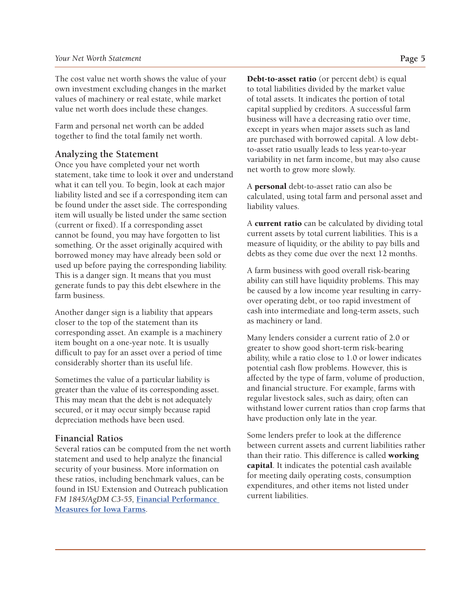The cost value net worth shows the value of your own investment excluding changes in the market values of machinery or real estate, while market value net worth does include these changes.

Farm and personal net worth can be added together to find the total family net worth.

#### **Analyzing the Statement**

Once you have completed your net worth statement, take time to look it over and understand what it can tell you. To begin, look at each major liability listed and see if a corresponding item can be found under the asset side. The corresponding item will usually be listed under the same section (current or fixed). If a corresponding asset cannot be found, you may have forgotten to list something. Or the asset originally acquired with borrowed money may have already been sold or used up before paying the corresponding liability. This is a danger sign. It means that you must generate funds to pay this debt elsewhere in the farm business.

Another danger sign is a liability that appears closer to the top of the statement than its corresponding asset. An example is a machinery item bought on a one-year note. It is usually difficult to pay for an asset over a period of time considerably shorter than its useful life.

Sometimes the value of a particular liability is greater than the value of its corresponding asset. This may mean that the debt is not adequately secured, or it may occur simply because rapid depreciation methods have been used.

#### **Financial Ratios**

Several ratios can be computed from the net worth statement and used to help analyze the financial security of your business. More information on these ratios, including benchmark values, can be found in ISU Extension and Outreach publication *FM 1845/AgDM C3-55,* **[Financial Performance](http://www.extension.iastate.edu/agdm/wholefarm/pdf/c3-55.pdf)  [Measures for Iowa Farms](http://www.extension.iastate.edu/agdm/wholefarm/pdf/c3-55.pdf)**.

Debt-to-asset ratio (or percent debt) is equal to total liabilities divided by the market value of total assets. It indicates the portion of total capital supplied by creditors. A successful farm business will have a decreasing ratio over time, except in years when major assets such as land are purchased with borrowed capital. A low debtto-asset ratio usually leads to less year-to-year variability in net farm income, but may also cause net worth to grow more slowly.

A personal debt-to-asset ratio can also be calculated, using total farm and personal asset and liability values.

A **current ratio** can be calculated by dividing total current assets by total current liabilities. This is a measure of liquidity, or the ability to pay bills and debts as they come due over the next 12 months.

A farm business with good overall risk-bearing ability can still have liquidity problems. This may be caused by a low income year resulting in carryover operating debt, or too rapid investment of cash into intermediate and long-term assets, such as machinery or land.

Many lenders consider a current ratio of 2.0 or greater to show good short-term risk-bearing ability, while a ratio close to 1.0 or lower indicates potential cash flow problems. However, this is affected by the type of farm, volume of production, and financial structure. For example, farms with regular livestock sales, such as dairy, often can withstand lower current ratios than crop farms that have production only late in the year.

Some lenders prefer to look at the difference between current assets and current liabilities rather than their ratio. This difference is called working capital. It indicates the potential cash available for meeting daily operating costs, consumption expenditures, and other items not listed under current liabilities.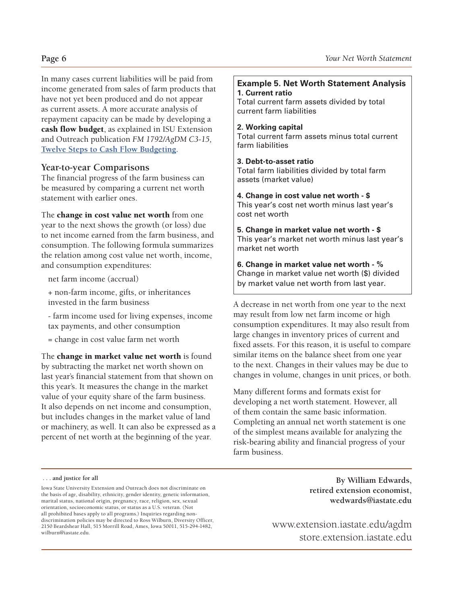In many cases current liabilities will be paid from income generated from sales of farm products that have not yet been produced and do not appear as current assets. A more accurate analysis of repayment capacity can be made by developing a cash flow budget, as explained in ISU Extension and Outreach publication *FM 1792/AgDM C3-15,* **[Twelve Steps to Cash Flow Budgeting](http://www.extension.iastate.edu/agdm/wholefarm/pdf/c3-15.pdf)**.

#### **Year-to-year Comparisons**

The financial progress of the farm business can be measured by comparing a current net worth statement with earlier ones.

The change in cost value net worth from one year to the next shows the growth (or loss) due to net income earned from the farm business, and consumption. The following formula summarizes the relation among cost value net worth, income, and consumption expenditures:

net farm income (accrual)

+ non-farm income, gifts, or inheritances invested in the farm business

- farm income used for living expenses, income tax payments, and other consumption

= change in cost value farm net worth

The change in market value net worth is found by subtracting the market net worth shown on last year's financial statement from that shown on this year's. It measures the change in the market value of your equity share of the farm business. It also depends on net income and consumption, but includes changes in the market value of land or machinery, as well. It can also be expressed as a percent of net worth at the beginning of the year.

#### **Example 5. Net Worth Statement Analysis 1. Current ratio**

Total current farm assets divided by total current farm liabilities

#### **2. Working capital**

Total current farm assets minus total current farm liabilities

#### **3. Debt-to-asset ratio**

Total farm liabilities divided by total farm assets (market value)

**4. Change in cost value net worth - \$** This year's cost net worth minus last year's cost net worth

**5. Change in market value net worth - \$** This year's market net worth minus last year's market net worth

**6. Change in market value net worth - %** Change in market value net worth (\$) divided by market value net worth from last year.

A decrease in net worth from one year to the next may result from low net farm income or high consumption expenditures. It may also result from large changes in inventory prices of current and fixed assets. For this reason, it is useful to compare similar items on the balance sheet from one year to the next. Changes in their values may be due to changes in volume, changes in unit prices, or both.

Many different forms and formats exist for developing a net worth statement. However, all of them contain the same basic information. Completing an annual net worth statement is one of the simplest means available for analyzing the risk-bearing ability and financial progress of your farm business.

 **. . . and justice for all** 

**By William Edwards, retired extension economist, wedwards@iastate.edu**

[www.extension.iastate.edu/agdm](http://www.extension.iastate.edu/agdm
) [store.extension.iastate.edu](http://store.extension.iastate.edu)

Iowa State University Extension and Outreach does not discriminate on the basis of age, disability, ethnicity, gender identity, genetic information, marital status, national origin, pregnancy, race, religion, sex, sexual orientation, socioeconomic status, or status as a U.S. veteran. (Not all prohibited bases apply to all programs.) Inquiries regarding nondiscrimination policies may be directed to Ross Wilburn, Diversity Officer, 2150 Beardshear Hall, 515 Morrill Road, Ames, Iowa 50011, 515-294-1482, wilburn@iastate.edu.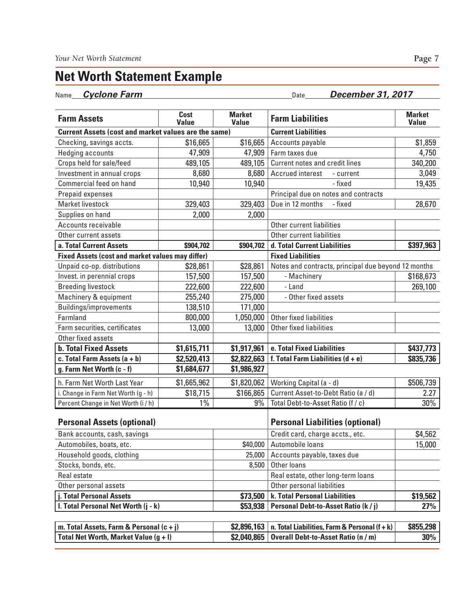## **Net Worth Statement Example**

Name **Cyclone Farm** Date December 31, 2017

| <b>Farm Assets</b>                                          | Cost<br><b>Value</b> | <b>Market</b><br><b>Value</b>          | <b>Farm Liabilities</b>                             | <b>Market</b><br><b>Value</b> |
|-------------------------------------------------------------|----------------------|----------------------------------------|-----------------------------------------------------|-------------------------------|
| <b>Current Assets (cost and market values are the same)</b> |                      |                                        | <b>Current Liabilities</b>                          |                               |
| Checking, savings accts.                                    | \$16,665             | \$16,665                               | Accounts payable                                    | \$1,859                       |
| <b>Hedging accounts</b>                                     | 47,909               | 47,909                                 | Farm taxes due                                      | 4,750                         |
| Crops held for sale/feed                                    | 489,105              | 489,105                                | <b>Current notes and credit lines</b>               | 340,200                       |
| Investment in annual crops                                  | 8,680                | 8,680                                  | <b>Accrued</b> interest<br>- current                | 3,049                         |
| Commercial feed on hand                                     | 10,940               | 10,940                                 | - fixed                                             | 19,435                        |
| Prepaid expenses                                            |                      |                                        | Principal due on notes and contracts                |                               |
| Market livestock                                            | 329,403              | 329,403                                | Due in 12 months<br>- fixed                         | 28,670                        |
| Supplies on hand                                            | 2,000                | 2,000                                  |                                                     |                               |
| Accounts receivable                                         |                      |                                        | Other current liabilities                           |                               |
| Other current assets                                        |                      |                                        | Other current liabilities                           |                               |
| a. Total Current Assets                                     | \$904,702            | \$904,702                              | d. Total Current Liabilities                        | \$397,963                     |
| <b>Fixed Assets (cost and market values may differ)</b>     |                      |                                        | <b>Fixed Liabilities</b>                            |                               |
| Unpaid co-op. distributions                                 | \$28,861             | \$28,861                               | Notes and contracts, principal due beyond 12 months |                               |
| Invest. in perennial crops                                  | 157,500              | 157,500                                | - Machinery                                         | \$168,673                     |
| <b>Breeding livestock</b>                                   | 222,600              | 222,600                                | - Land                                              | 269,100                       |
| Machinery & equipment                                       | 255,240              | 275,000                                | - Other fixed assets                                |                               |
| Buildings/improvements                                      | 138,510              | 171,000                                |                                                     |                               |
| Farmland                                                    | 800,000              | 1,050,000                              | Other fixed liabilities                             |                               |
| Farm securities, certificates                               | 13,000               | 13,000                                 | Other fixed liabilities                             |                               |
| Other fixed assets                                          |                      |                                        |                                                     |                               |
| <b>b. Total Fixed Assets</b>                                | \$1,615,711          | \$1,917,961                            | e. Total Fixed Liabilities                          | \$437,773                     |
| c. Total Farm Assets $(a + b)$                              | \$2,520,413          | \$2,822,663                            | f. Total Farm Liabilities $(d + e)$                 | \$835,736                     |
| g. Farm Net Worth (c - f)                                   | \$1,684,677          | \$1,986,927                            |                                                     |                               |
| h. Farm Net Worth Last Year                                 | \$1,665,962          | \$1,820,062                            | Working Capital (a - d)                             | \$506,739                     |
| i. Change in Farm Net Worth (g - h)                         | \$18,715             | \$166,865                              | Current Asset-to-Debt Ratio (a / d)                 | 2.27                          |
| Percent Change in Net Worth (i / h)                         | $1\%$                | 9%                                     | Total Debt-to-Asset Ratio (f / c)                   | 30%                           |
| <b>Personal Assets (optional)</b>                           |                      | <b>Personal Liabilities (optional)</b> |                                                     |                               |
| Bank accounts, cash, savings                                |                      |                                        | Credit card, charge accts., etc.                    | \$4,562                       |
| Automobiles, boats, etc.                                    |                      | \$40,000                               | Automobile loans                                    | 15,000                        |
| Household goods, clothing                                   |                      |                                        | 25,000 Accounts payable, taxes due                  |                               |
| Stocks, bonds, etc.                                         |                      | 8,500                                  | Other loans                                         |                               |
| Real estate                                                 |                      |                                        | Real estate, other long-term loans                  |                               |
| Other personal assets                                       |                      |                                        | Other personal liabilities                          |                               |
| j. Total Personal Assets                                    |                      | \$73,500                               | k. Total Personal Liabilities                       | \$19,562                      |
| I. Total Personal Net Worth (j - k)                         |                      | \$53,938                               | Personal Debt-to-Asset Ratio (k / j)                | 27%                           |
|                                                             |                      |                                        |                                                     |                               |
| m. Total Assets, Farm & Personal $(c + j)$                  |                      | \$2,896,163                            | n. Total Liabilities, Farm & Personal $(f + k)$     | \$855,298                     |
| Total Net Worth, Market Value (g + I)                       |                      | \$2,040,865                            | <b>Overall Debt-to-Asset Ratio (n / m)</b>          | 30%                           |